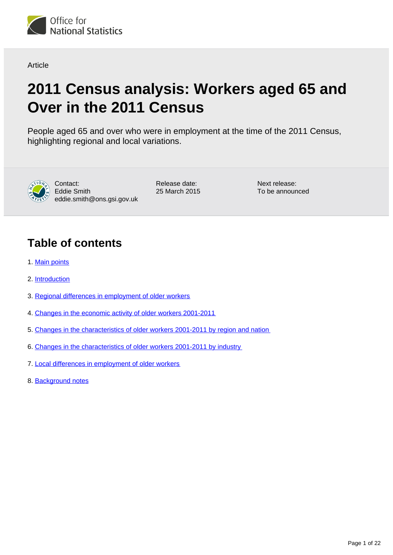

Article

# **2011 Census analysis: Workers aged 65 and Over in the 2011 Census**

People aged 65 and over who were in employment at the time of the 2011 Census, highlighting regional and local variations.



Contact: Eddie Smith eddie.smith@ons.gsi.gov.uk Release date: 25 March 2015 Next release: To be announced

# **Table of contents**

- 1. [Main points](#page-1-0)
- 2. [Introduction](#page-1-1)
- 3. [Regional differences in employment of older workers](#page-2-0)
- 4. [Changes in the economic activity of older workers 2001-2011](#page-5-0)
- 5. [Changes in the characteristics of older workers 2001-2011 by region and nation](#page-8-0)
- 6. [Changes in the characteristics of older workers 2001-2011 by industry](#page-11-0)
- 7. [Local differences in employment of older workers](#page-15-0)
- 8. [Background notes](#page-19-0)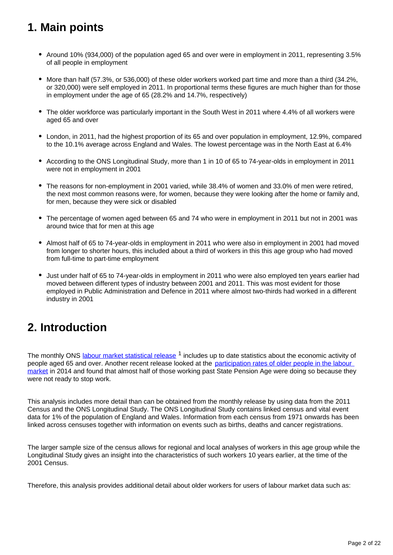# <span id="page-1-0"></span>**1. Main points**

- Around 10% (934,000) of the population aged 65 and over were in employment in 2011, representing 3.5% of all people in employment
- More than half (57.3%, or 536,000) of these older workers worked part time and more than a third (34.2%, or 320,000) were self employed in 2011. In proportional terms these figures are much higher than for those in employment under the age of 65 (28.2% and 14.7%, respectively)
- The older workforce was particularly important in the South West in 2011 where 4.4% of all workers were aged 65 and over
- London, in 2011, had the highest proportion of its 65 and over population in employment, 12.9%, compared to the 10.1% average across England and Wales. The lowest percentage was in the North East at 6.4%
- According to the ONS Longitudinal Study, more than 1 in 10 of 65 to 74-year-olds in employment in 2011 were not in employment in 2001
- The reasons for non-employment in 2001 varied, while 38.4% of women and 33.0% of men were retired. the next most common reasons were, for women, because they were looking after the home or family and, for men, because they were sick or disabled
- The percentage of women aged between 65 and 74 who were in employment in 2011 but not in 2001 was around twice that for men at this age
- Almost half of 65 to 74-year-olds in employment in 2011 who were also in employment in 2001 had moved from longer to shorter hours, this included about a third of workers in this this age group who had moved from full-time to part-time employment
- Just under half of 65 to 74-year-olds in employment in 2011 who were also employed ten years earlier had moved between different types of industry between 2001 and 2011. This was most evident for those employed in Public Administration and Defence in 2011 where almost two-thirds had worked in a different industry in 2001

# <span id="page-1-1"></span>**2. Introduction**

The monthly ONS [labour market statistical release](http://www.ons.gov.uk/ons/rel/lms/labour-market-statistics/index.html)<sup>1</sup> includes up to date statistics about the economic activity of people aged 65 and over. Another recent release looked at the participation rates of older people in the labour [market](http://www.ons.gov.uk/ons/rel/lmac/participation-rates-in-the-uk-labour-market/2014/art-3-older.html) in 2014 and found that almost half of those working past State Pension Age were doing so because they were not ready to stop work.

This analysis includes more detail than can be obtained from the monthly release by using data from the 2011 Census and the ONS Longitudinal Study. The ONS Longitudinal Study contains linked census and vital event data for 1% of the population of England and Wales. Information from each census from 1971 onwards has been linked across censuses together with information on events such as births, deaths and cancer registrations.

The larger sample size of the census allows for regional and local analyses of workers in this age group while the Longitudinal Study gives an insight into the characteristics of such workers 10 years earlier, at the time of the 2001 Census.

Therefore, this analysis provides additional detail about older workers for users of labour market data such as: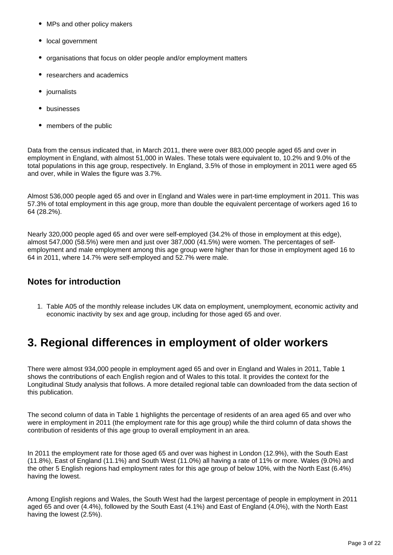- MPs and other policy makers
- local government
- organisations that focus on older people and/or employment matters
- researchers and academics
- journalists
- businesses
- members of the public

Data from the census indicated that, in March 2011, there were over 883,000 people aged 65 and over in employment in England, with almost 51,000 in Wales. These totals were equivalent to, 10.2% and 9.0% of the total populations in this age group, respectively. In England, 3.5% of those in employment in 2011 were aged 65 and over, while in Wales the figure was 3.7%.

Almost 536,000 people aged 65 and over in England and Wales were in part-time employment in 2011. This was 57.3% of total employment in this age group, more than double the equivalent percentage of workers aged 16 to 64 (28.2%).

Nearly 320,000 people aged 65 and over were self-employed (34.2% of those in employment at this edge), almost 547,000 (58.5%) were men and just over 387,000 (41.5%) were women. The percentages of selfemployment and male employment among this age group were higher than for those in employment aged 16 to 64 in 2011, where 14.7% were self-employed and 52.7% were male.

# **Notes for introduction**

1. Table A05 of the monthly release includes UK data on employment, unemployment, economic activity and economic inactivity by sex and age group, including for those aged 65 and over.

# <span id="page-2-0"></span>**3. Regional differences in employment of older workers**

There were almost 934,000 people in employment aged 65 and over in England and Wales in 2011, Table 1 shows the contributions of each English region and of Wales to this total. It provides the context for the Longitudinal Study analysis that follows. A more detailed regional table can downloaded from the data section of this publication.

The second column of data in Table 1 highlights the percentage of residents of an area aged 65 and over who were in employment in 2011 (the employment rate for this age group) while the third column of data shows the contribution of residents of this age group to overall employment in an area.

In 2011 the employment rate for those aged 65 and over was highest in London (12.9%), with the South East (11.8%), East of England (11.1%) and South West (11.0%) all having a rate of 11% or more. Wales (9.0%) and the other 5 English regions had employment rates for this age group of below 10%, with the North East (6.4%) having the lowest.

Among English regions and Wales, the South West had the largest percentage of people in employment in 2011 aged 65 and over (4.4%), followed by the South East (4.1%) and East of England (4.0%), with the North East having the lowest (2.5%).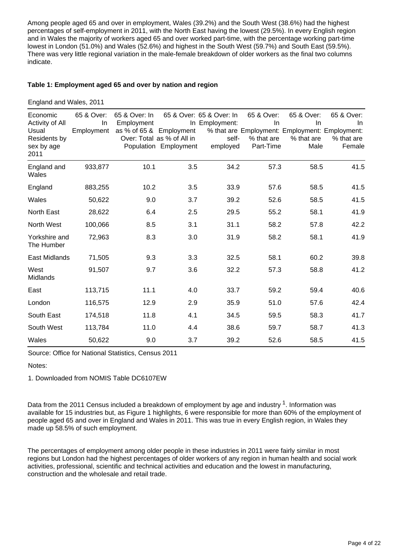Among people aged 65 and over in employment, Wales (39.2%) and the South West (38.6%) had the highest percentages of self-employment in 2011, with the North East having the lowest (29.5%). In every English region and in Wales the majority of workers aged 65 and over worked part-time, with the percentage working part-time lowest in London (51.0%) and Wales (52.6%) and highest in the South West (59.7%) and South East (59.5%). There was very little regional variation in the male-female breakdown of older workers as the final two columns indicate.

### **Table 1: Employment aged 65 and over by nation and region**

England and Wales, 2011

| Economic<br>Activity of All<br>Usual<br>Residents by<br>sex by age<br>2011 | 65 & Over:<br>In.<br>Employment | 65 & Over: In<br>Employment<br>as % of 65 & Employment | Over: Total as % of All in<br>Population Employment | 65 & Over: 65 & Over: In<br>In Employment:<br>self-<br>employed | 65 & Over:<br>In<br>% that are<br>Part-Time | 65 & Over:<br><b>In</b><br>% that are Employment: Employment: Employment:<br>% that are<br>Male | 65 & Over:<br>In.<br>% that are<br>Female |
|----------------------------------------------------------------------------|---------------------------------|--------------------------------------------------------|-----------------------------------------------------|-----------------------------------------------------------------|---------------------------------------------|-------------------------------------------------------------------------------------------------|-------------------------------------------|
| England and<br>Wales                                                       | 933,877                         | 10.1                                                   | 3.5                                                 | 34.2                                                            | 57.3                                        | 58.5                                                                                            | 41.5                                      |
| England                                                                    | 883,255                         | 10.2                                                   | 3.5                                                 | 33.9                                                            | 57.6                                        | 58.5                                                                                            | 41.5                                      |
| Wales                                                                      | 50,622                          | 9.0                                                    | 3.7                                                 | 39.2                                                            | 52.6                                        | 58.5                                                                                            | 41.5                                      |
| <b>North East</b>                                                          | 28,622                          | 6.4                                                    | 2.5                                                 | 29.5                                                            | 55.2                                        | 58.1                                                                                            | 41.9                                      |
| North West                                                                 | 100,066                         | 8.5                                                    | 3.1                                                 | 31.1                                                            | 58.2                                        | 57.8                                                                                            | 42.2                                      |
| Yorkshire and<br>The Humber                                                | 72,963                          | 8.3                                                    | 3.0                                                 | 31.9                                                            | 58.2                                        | 58.1                                                                                            | 41.9                                      |
| <b>East Midlands</b>                                                       | 71,505                          | 9.3                                                    | 3.3                                                 | 32.5                                                            | 58.1                                        | 60.2                                                                                            | 39.8                                      |
| West<br><b>Midlands</b>                                                    | 91,507                          | 9.7                                                    | 3.6                                                 | 32.2                                                            | 57.3                                        | 58.8                                                                                            | 41.2                                      |
| East                                                                       | 113,715                         | 11.1                                                   | 4.0                                                 | 33.7                                                            | 59.2                                        | 59.4                                                                                            | 40.6                                      |
| London                                                                     | 116,575                         | 12.9                                                   | 2.9                                                 | 35.9                                                            | 51.0                                        | 57.6                                                                                            | 42.4                                      |
| South East                                                                 | 174,518                         | 11.8                                                   | 4.1                                                 | 34.5                                                            | 59.5                                        | 58.3                                                                                            | 41.7                                      |
| South West                                                                 | 113,784                         | 11.0                                                   | 4.4                                                 | 38.6                                                            | 59.7                                        | 58.7                                                                                            | 41.3                                      |
| Wales                                                                      | 50,622                          | 9.0                                                    | 3.7                                                 | 39.2                                                            | 52.6                                        | 58.5                                                                                            | 41.5                                      |

Source: Office for National Statistics, Census 2011

Notes:

1. Downloaded from NOMIS Table DC6107EW

Data from the 2011 Census included a breakdown of employment by age and industry  $1$ . Information was available for 15 industries but, as Figure 1 highlights, 6 were responsible for more than 60% of the employment of people aged 65 and over in England and Wales in 2011. This was true in every English region, in Wales they made up 58.5% of such employment.

The percentages of employment among older people in these industries in 2011 were fairly similar in most regions but London had the highest percentages of older workers of any region in human health and social work activities, professional, scientific and technical activities and education and the lowest in manufacturing, construction and the wholesale and retail trade.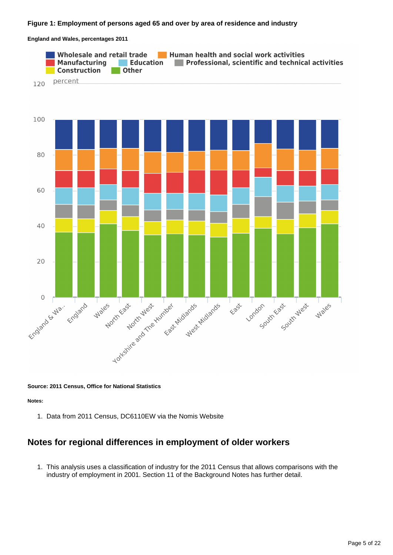### **Figure 1: Employment of persons aged 65 and over by area of residence and industry**

**England and Wales, percentages 2011**



**Source: 2011 Census, Office for National Statistics**

**Notes:**

1. Data from 2011 Census, DC6110EW via the Nomis Website

# **Notes for regional differences in employment of older workers**

1. This analysis uses a classification of industry for the 2011 Census that allows comparisons with the industry of employment in 2001. Section 11 of the Background Notes has further detail.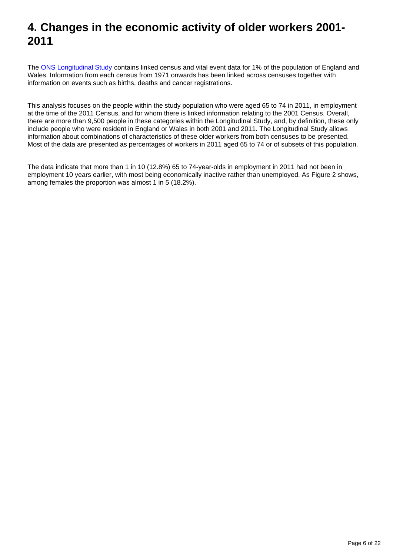# <span id="page-5-0"></span>**4. Changes in the economic activity of older workers 2001- 2011**

The [ONS Longitudinal Study](http://www.ons.gov.uk/ons/guide-method/user-guidance/longitudinal-study/index.html) contains linked census and vital event data for 1% of the population of England and Wales. Information from each census from 1971 onwards has been linked across censuses together with information on events such as births, deaths and cancer registrations.

This analysis focuses on the people within the study population who were aged 65 to 74 in 2011, in employment at the time of the 2011 Census, and for whom there is linked information relating to the 2001 Census. Overall, there are more than 9,500 people in these categories within the Longitudinal Study, and, by definition, these only include people who were resident in England or Wales in both 2001 and 2011. The Longitudinal Study allows information about combinations of characteristics of these older workers from both censuses to be presented. Most of the data are presented as percentages of workers in 2011 aged 65 to 74 or of subsets of this population.

The data indicate that more than 1 in 10 (12.8%) 65 to 74-year-olds in employment in 2011 had not been in employment 10 years earlier, with most being economically inactive rather than unemployed. As Figure 2 shows, among females the proportion was almost 1 in 5 (18.2%).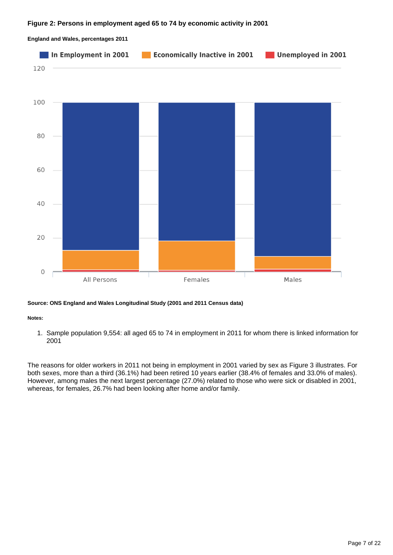

#### **England and Wales, percentages 2011**

### **Source: ONS England and Wales Longitudinal Study (2001 and 2011 Census data)**

#### **Notes:**

1. Sample population 9,554: all aged 65 to 74 in employment in 2011 for whom there is linked information for 2001

The reasons for older workers in 2011 not being in employment in 2001 varied by sex as Figure 3 illustrates. For both sexes, more than a third (36.1%) had been retired 10 years earlier (38.4% of females and 33.0% of males). However, among males the next largest percentage (27.0%) related to those who were sick or disabled in 2001, whereas, for females, 26.7% had been looking after home and/or family.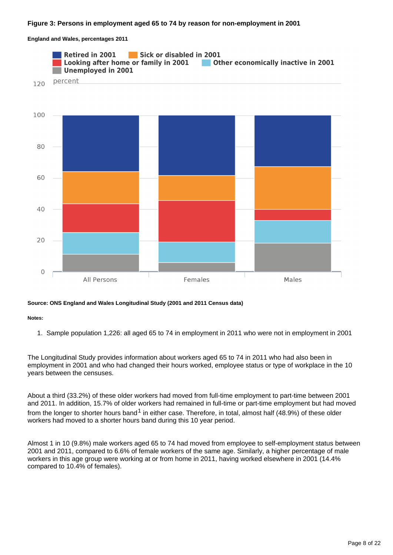### **Figure 3: Persons in employment aged 65 to 74 by reason for non-employment in 2001**

**England and Wales, percentages 2011**



#### **Source: ONS England and Wales Longitudinal Study (2001 and 2011 Census data)**

**Notes:**

1. Sample population 1,226: all aged 65 to 74 in employment in 2011 who were not in employment in 2001

The Longitudinal Study provides information about workers aged 65 to 74 in 2011 who had also been in employment in 2001 and who had changed their hours worked, employee status or type of workplace in the 10 years between the censuses.

About a third (33.2%) of these older workers had moved from full-time employment to part-time between 2001 and 2011. In addition, 15.7% of older workers had remained in full-time or part-time employment but had moved from the longer to shorter hours band  $1$  in either case. Therefore, in total, almost half (48.9%) of these older workers had moved to a shorter hours band during this 10 year period.

Almost 1 in 10 (9.8%) male workers aged 65 to 74 had moved from employee to self-employment status between 2001 and 2011, compared to 6.6% of female workers of the same age. Similarly, a higher percentage of male workers in this age group were working at or from home in 2011, having worked elsewhere in 2001 (14.4% compared to 10.4% of females).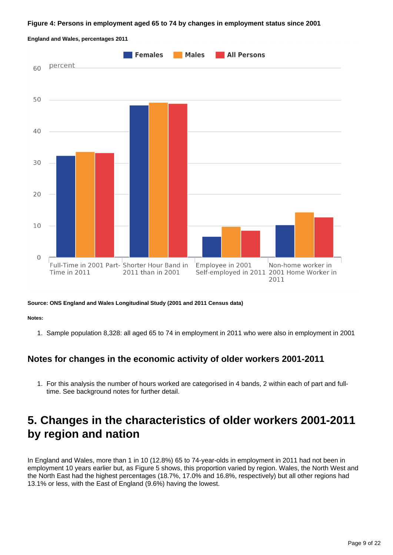#### **Figure 4: Persons in employment aged 65 to 74 by changes in employment status since 2001**



**England and Wales, percentages 2011**

**Source: ONS England and Wales Longitudinal Study (2001 and 2011 Census data)**

**Notes:**

1. Sample population 8,328: all aged 65 to 74 in employment in 2011 who were also in employment in 2001

# **Notes for changes in the economic activity of older workers 2001-2011**

1. For this analysis the number of hours worked are categorised in 4 bands, 2 within each of part and fulltime. See background notes for further detail.

# <span id="page-8-0"></span>**5. Changes in the characteristics of older workers 2001-2011 by region and nation**

In England and Wales, more than 1 in 10 (12.8%) 65 to 74-year-olds in employment in 2011 had not been in employment 10 years earlier but, as Figure 5 shows, this proportion varied by region. Wales, the North West and the North East had the highest percentages (18.7%, 17.0% and 16.8%, respectively) but all other regions had 13.1% or less, with the East of England (9.6%) having the lowest.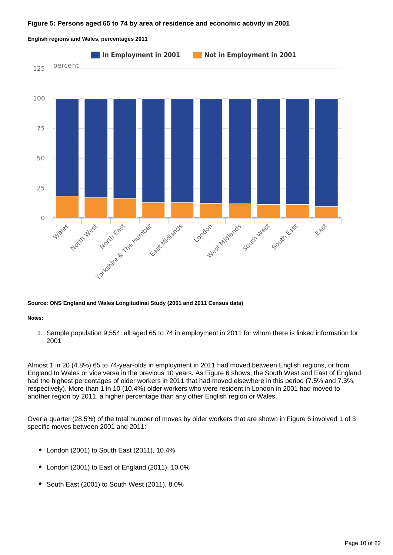#### **Figure 5: Persons aged 65 to 74 by area of residence and economic activity in 2001**



#### **English regions and Wales, percentages 2011**

#### **Source: ONS England and Wales Longitudinal Study (2001 and 2011 Census data)**

#### **Notes:**

1. Sample population 9,554: all aged 65 to 74 in employment in 2011 for whom there is linked information for 2001

Almost 1 in 20 (4.8%) 65 to 74-year-olds in employment in 2011 had moved between English regions, or from England to Wales or vice versa in the previous 10 years. As Figure 6 shows, the South West and East of England had the highest percentages of older workers in 2011 that had moved elsewhere in this period (7.5% and 7.3%, respectively). More than 1 in 10 (10.4%) older workers who were resident in London in 2001 had moved to another region by 2011, a higher percentage than any other English region or Wales.

Over a quarter (28.5%) of the total number of moves by older workers that are shown in Figure 6 involved 1 of 3 specific moves between 2001 and 2011:

- London (2001) to South East (2011), 10.4%
- London (2001) to East of England (2011), 10.0%
- South East (2001) to South West (2011), 8.0%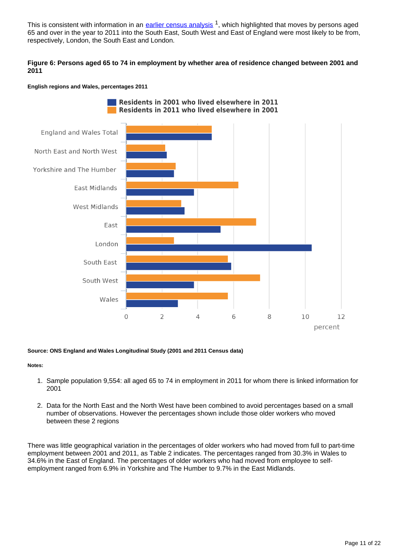This is consistent with information in an [earlier census analysis](http://www.ons.gov.uk/ons/rel/census/2011-census-analysis/internal-and-international-migration-of-older-residents--aged-65-and-over--in-england-and-wales-in-the-year-prior-to-the-2011-census/index.html)<sup>1</sup>, which highlighted that moves by persons aged 65 and over in the year to 2011 into the South East, South West and East of England were most likely to be from, respectively, London, the South East and London.

### **Figure 6: Persons aged 65 to 74 in employment by whether area of residence changed between 2001 and 2011**

#### **English regions and Wales, percentages 2011**



**Source: ONS England and Wales Longitudinal Study (2001 and 2011 Census data)**

#### **Notes:**

- 1. Sample population 9,554: all aged 65 to 74 in employment in 2011 for whom there is linked information for 2001
- 2. Data for the North East and the North West have been combined to avoid percentages based on a small number of observations. However the percentages shown include those older workers who moved between these 2 regions

There was little geographical variation in the percentages of older workers who had moved from full to part-time employment between 2001 and 2011, as Table 2 indicates. The percentages ranged from 30.3% in Wales to 34.6% in the East of England. The percentages of older workers who had moved from employee to selfemployment ranged from 6.9% in Yorkshire and The Humber to 9.7% in the East Midlands.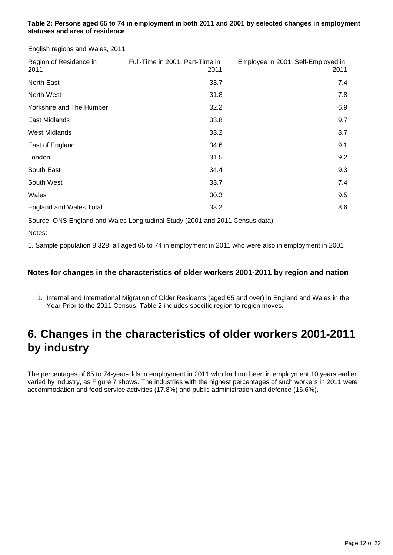### **Table 2: Persons aged 65 to 74 in employment in both 2011 and 2001 by selected changes in employment statuses and area of residence**

English regions and Wales, 2011

| Region of Residence in<br>2011 | Full-Time in 2001, Part-Time in<br>2011 | Employee in 2001, Self-Employed in<br>2011 |
|--------------------------------|-----------------------------------------|--------------------------------------------|
| North East                     | 33.7                                    | 7.4                                        |
| North West                     | 31.8                                    | 7.8                                        |
| Yorkshire and The Humber       | 32.2                                    | 6.9                                        |
| East Midlands                  | 33.8                                    | 9.7                                        |
| <b>West Midlands</b>           | 33.2                                    | 8.7                                        |
| East of England                | 34.6                                    | 9.1                                        |
| London                         | 31.5                                    | 9.2                                        |
| South East                     | 34.4                                    | 9.3                                        |
| South West                     | 33.7                                    | 7.4                                        |
| Wales                          | 30.3                                    | 9.5                                        |
| <b>England and Wales Total</b> | 33.2                                    | 8.6                                        |

Source: ONS England and Wales Longitudinal Study (2001 and 2011 Census data)

Notes:

1. Sample population 8,328: all aged 65 to 74 in employment in 2011 who were also in employment in 2001

## **Notes for changes in the characteristics of older workers 2001-2011 by region and nation**

1. Internal and International Migration of Older Residents (aged 65 and over) in England and Wales in the Year Prior to the 2011 Census, Table 2 includes specific region to region moves.

# <span id="page-11-0"></span>**6. Changes in the characteristics of older workers 2001-2011 by industry**

The percentages of 65 to 74-year-olds in employment in 2011 who had not been in employment 10 years earlier varied by industry, as Figure 7 shows. The industries with the highest percentages of such workers in 2011 were accommodation and food service activities (17.8%) and public administration and defence (16.6%).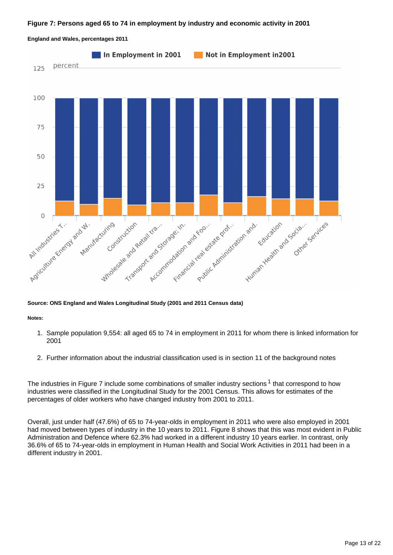#### **Figure 7: Persons aged 65 to 74 in employment by industry and economic activity in 2001**

![](_page_12_Figure_1.jpeg)

**England and Wales, percentages 2011**

#### **Source: ONS England and Wales Longitudinal Study (2001 and 2011 Census data)**

**Notes:**

- 1. Sample population 9,554: all aged 65 to 74 in employment in 2011 for whom there is linked information for 2001
- 2. Further information about the industrial classification used is in section 11 of the background notes

The industries in Figure 7 include some combinations of smaller industry sections  $1$  that correspond to how industries were classified in the Longitudinal Study for the 2001 Census. This allows for estimates of the percentages of older workers who have changed industry from 2001 to 2011.

Overall, just under half (47.6%) of 65 to 74-year-olds in employment in 2011 who were also employed in 2001 had moved between types of industry in the 10 years to 2011. Figure 8 shows that this was most evident in Public Administration and Defence where 62.3% had worked in a different industry 10 years earlier. In contrast, only 36.6% of 65 to 74-year-olds in employment in Human Health and Social Work Activities in 2011 had been in a different industry in 2001.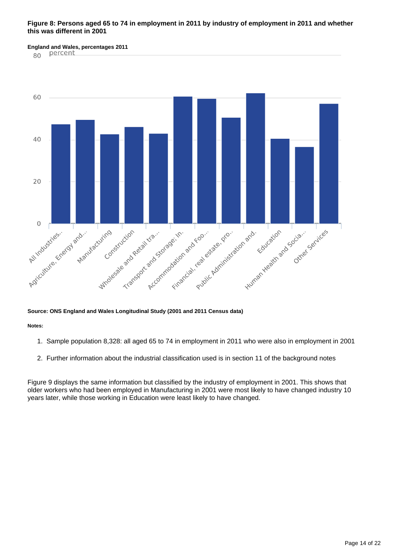### **Figure 8: Persons aged 65 to 74 in employment in 2011 by industry of employment in 2011 and whether this was different in 2001**

# **England and Wales, percentages 2011**

80

![](_page_13_Figure_3.jpeg)

#### **Source: ONS England and Wales Longitudinal Study (2001 and 2011 Census data)**

**Notes:**

- 1. Sample population 8,328: all aged 65 to 74 in employment in 2011 who were also in employment in 2001
- 2. Further information about the industrial classification used is in section 11 of the background notes

Figure 9 displays the same information but classified by the industry of employment in 2001. This shows that older workers who had been employed in Manufacturing in 2001 were most likely to have changed industry 10 years later, while those working in Education were least likely to have changed.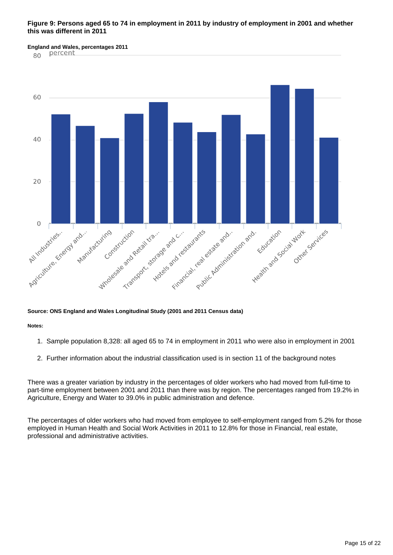### **Figure 9: Persons aged 65 to 74 in employment in 2011 by industry of employment in 2001 and whether this was different in 2011**

**England and Wales, percentages 2011** 

80

![](_page_14_Figure_3.jpeg)

#### **Source: ONS England and Wales Longitudinal Study (2001 and 2011 Census data)**

**Notes:**

- 1. Sample population 8,328: all aged 65 to 74 in employment in 2011 who were also in employment in 2001
- 2. Further information about the industrial classification used is in section 11 of the background notes

There was a greater variation by industry in the percentages of older workers who had moved from full-time to part-time employment between 2001 and 2011 than there was by region. The percentages ranged from 19.2% in Agriculture, Energy and Water to 39.0% in public administration and defence.

The percentages of older workers who had moved from employee to self-employment ranged from 5.2% for those employed in Human Health and Social Work Activities in 2011 to 12.8% for those in Financial, real estate, professional and administrative activities.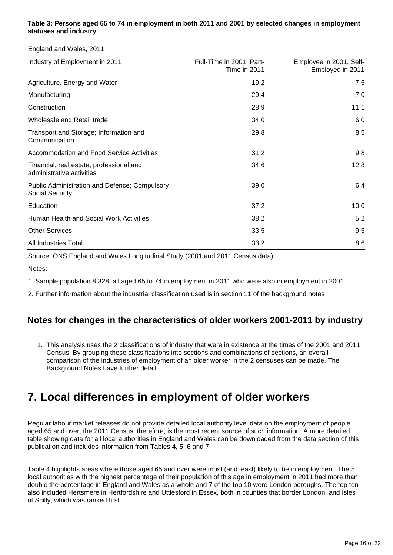## **Table 3: Persons aged 65 to 74 in employment in both 2011 and 2001 by selected changes in employment statuses and industry**

England and Wales, 2011

| Industry of Employment in 2011                                          | Full-Time in 2001, Part-<br>Time in 2011 | Employee in 2001, Self-<br>Employed in 2011 |
|-------------------------------------------------------------------------|------------------------------------------|---------------------------------------------|
| Agriculture, Energy and Water                                           | 19.2                                     | 7.5                                         |
| Manufacturing                                                           | 29.4                                     | 7.0                                         |
| Construction                                                            | 28.9                                     | 11.1                                        |
| Wholesale and Retail trade                                              | 34.0                                     | 6.0                                         |
| Transport and Storage; Information and<br>Communication                 | 29.8                                     | 8.5                                         |
| <b>Accommodation and Food Service Activities</b>                        | 31.2                                     | 9.8                                         |
| Financial, real estate, professional and<br>administrative activities   | 34.6                                     | 12.8                                        |
| <b>Public Administration and Defence; Compulsory</b><br>Social Security | 39.0                                     | 6.4                                         |
| Education                                                               | 37.2                                     | 10.0                                        |
| Human Health and Social Work Activities                                 | 38.2                                     | 5.2                                         |
| <b>Other Services</b>                                                   | 33.5                                     | 9.5                                         |
| <b>All Industries Total</b>                                             | 33.2                                     | 8.6                                         |

Source: ONS England and Wales Longitudinal Study (2001 and 2011 Census data)

Notes:

1. Sample population 8,328: all aged 65 to 74 in employment in 2011 who were also in employment in 2001

2. Further information about the industrial classification used is in section 11 of the background notes

# **Notes for changes in the characteristics of older workers 2001-2011 by industry**

1. This analysis uses the 2 classifications of industry that were in existence at the times of the 2001 and 2011 Census. By grouping these classifications into sections and combinations of sections, an overall comparison of the industries of employment of an older worker in the 2 censuses can be made. The Background Notes have further detail.

# <span id="page-15-0"></span>**7. Local differences in employment of older workers**

Regular labour market releases do not provide detailed local authority level data on the employment of people aged 65 and over, the 2011 Census, therefore, is the most recent source of such information. A more detailed table showing data for all local authorities in England and Wales can be downloaded from the data section of this publication and includes information from Tables 4, 5, 6 and 7.

Table 4 highlights areas where those aged 65 and over were most (and least) likely to be in employment. The 5 local authorities with the highest percentage of their population of this age in employment in 2011 had more than double the percentage in England and Wales as a whole and 7 of the top 10 were London boroughs. The top ten also included Hertsmere in Hertfordshire and Uttlesford in Essex, both in counties that border London, and Isles of Scilly, which was ranked first.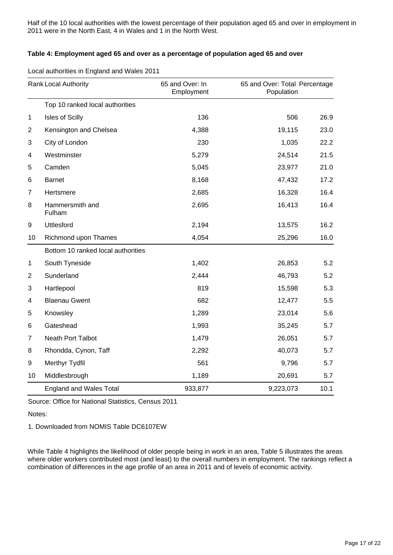Half of the 10 local authorities with the lowest percentage of their population aged 65 and over in employment in 2011 were in the North East, 4 in Wales and 1 in the North West.

### **Table 4: Employment aged 65 and over as a percentage of population aged 65 and over**

|  | Local authorities in England and Wales 2011 |
|--|---------------------------------------------|
|--|---------------------------------------------|

| <b>Rank Local Authority</b> |                                    | 65 and Over: In<br>Employment | 65 and Over: Total Percentage<br>Population |      |
|-----------------------------|------------------------------------|-------------------------------|---------------------------------------------|------|
|                             | Top 10 ranked local authorities    |                               |                                             |      |
| 1                           | Isles of Scilly                    | 136                           | 506                                         | 26.9 |
| $\overline{2}$              | Kensington and Chelsea             | 4,388                         | 19,115                                      | 23.0 |
| 3                           | City of London                     | 230                           | 1,035                                       | 22.2 |
| 4                           | Westminster                        | 5,279                         | 24,514                                      | 21.5 |
| 5                           | Camden                             | 5,045                         | 23,977                                      | 21.0 |
| 6                           | <b>Barnet</b>                      | 8,168                         | 47,432                                      | 17.2 |
| 7                           | Hertsmere                          | 2,685                         | 16,328                                      | 16.4 |
| 8                           | Hammersmith and<br>Fulham          | 2,695                         | 16,413                                      | 16.4 |
| 9                           | Uttlesford                         | 2,194                         | 13,575                                      | 16.2 |
| 10                          | Richmond upon Thames               | 4,054                         | 25,296                                      | 16.0 |
|                             | Bottom 10 ranked local authorities |                               |                                             |      |
| 1                           | South Tyneside                     | 1,402                         | 26,853                                      | 5.2  |
| $\overline{c}$              | Sunderland                         | 2,444                         | 46,793                                      | 5.2  |
| 3                           | Hartlepool                         | 819                           | 15,598                                      | 5.3  |
| 4                           | <b>Blaenau Gwent</b>               | 682                           | 12,477                                      | 5.5  |
| 5                           | Knowsley                           | 1,289                         | 23,014                                      | 5.6  |
| 6                           | Gateshead                          | 1,993                         | 35,245                                      | 5.7  |
| 7                           | <b>Neath Port Talbot</b>           | 1,479                         | 26,051                                      | 5.7  |
| 8                           | Rhondda, Cynon, Taff               | 2,292                         | 40,073                                      | 5.7  |
| 9                           | Merthyr Tydfil                     | 561                           | 9,796                                       | 5.7  |
| 10                          | Middlesbrough                      | 1,189                         | 20,691                                      | 5.7  |
|                             | <b>England and Wales Total</b>     | 933,877                       | 9,223,073                                   | 10.1 |

Source: Office for National Statistics, Census 2011

Notes:

1. Downloaded from NOMIS Table DC6107EW

While Table 4 highlights the likelihood of older people being in work in an area, Table 5 illustrates the areas where older workers contributed most (and least) to the overall numbers in employment. The rankings reflect a combination of differences in the age profile of an area in 2011 and of levels of economic activity.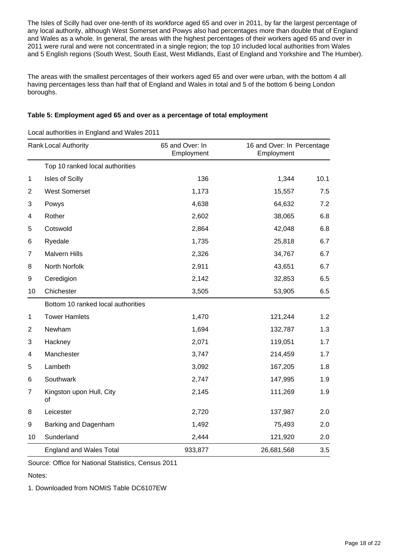The Isles of Scilly had over one-tenth of its workforce aged 65 and over in 2011, by far the largest percentage of any local authority, although West Somerset and Powys also had percentages more than double that of England and Wales as a whole. In general, the areas with the highest percentages of their workers aged 65 and over in 2011 were rural and were not concentrated in a single region; the top 10 included local authorities from Wales and 5 English regions (South West, South East, West Midlands, East of England and Yorkshire and The Humber).

The areas with the smallest percentages of their workers aged 65 and over were urban, with the bottom 4 all having percentages less than half that of England and Wales in total and 5 of the bottom 6 being London boroughs.

### **Table 5: Employment aged 65 and over as a percentage of total employment**

Local authorities in England and Wales 2011

| Rank Local Authority |                                    | 65 and Over: In<br>Employment | 16 and Over: In Percentage<br>Employment |      |
|----------------------|------------------------------------|-------------------------------|------------------------------------------|------|
|                      | Top 10 ranked local authorities    |                               |                                          |      |
| 1                    | Isles of Scilly                    | 136                           | 1,344                                    | 10.1 |
| $\overline{2}$       | <b>West Somerset</b>               | 1,173                         | 15,557                                   | 7.5  |
| 3                    | Powys                              | 4,638                         | 64,632                                   | 7.2  |
| 4                    | Rother                             | 2,602                         | 38,065                                   | 6.8  |
| 5                    | Cotswold                           | 2,864                         | 42,048                                   | 6.8  |
| 6                    | Ryedale                            | 1,735                         | 25,818                                   | 6.7  |
| 7                    | <b>Malvern Hills</b>               | 2,326                         | 34,767                                   | 6.7  |
| 8                    | North Norfolk                      | 2,911                         | 43,651                                   | 6.7  |
| 9                    | Ceredigion                         | 2,142                         | 32,853                                   | 6.5  |
| 10                   | Chichester                         | 3,505                         | 53,905                                   | 6.5  |
|                      | Bottom 10 ranked local authorities |                               |                                          |      |
| $\mathbf 1$          | <b>Tower Hamlets</b>               | 1,470                         | 121,244                                  | 1.2  |
| $\overline{2}$       | Newham                             | 1,694                         | 132,787                                  | 1.3  |
| 3                    | Hackney                            | 2,071                         | 119,051                                  | 1.7  |
| 4                    | Manchester                         | 3,747                         | 214,459                                  | 1.7  |
| 5                    | Lambeth                            | 3,092                         | 167,205                                  | 1.8  |
| 6                    | Southwark                          | 2,747                         | 147,995                                  | 1.9  |
| 7                    | Kingston upon Hull, City<br>οf     | 2,145                         | 111,269                                  | 1.9  |
| 8                    | Leicester                          | 2,720                         | 137,987                                  | 2.0  |
| 9                    | Barking and Dagenham               | 1,492                         | 75,493                                   | 2.0  |
| 10                   | Sunderland                         | 2,444                         | 121,920                                  | 2.0  |
|                      | <b>England and Wales Total</b>     | 933,877                       | 26,681,568                               | 3.5  |

Source: Office for National Statistics, Census 2011

Notes:

1. Downloaded from NOMIS Table DC6107EW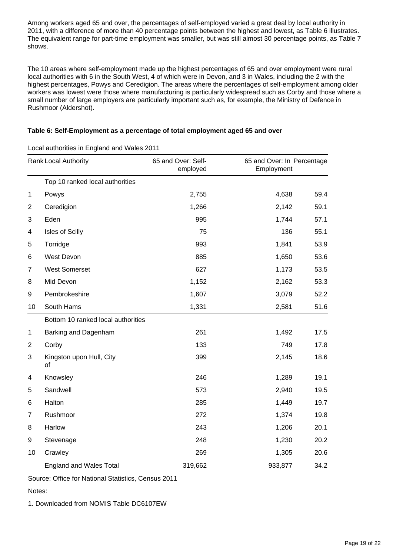Among workers aged 65 and over, the percentages of self-employed varied a great deal by local authority in 2011, with a difference of more than 40 percentage points between the highest and lowest, as Table 6 illustrates. The equivalent range for part-time employment was smaller, but was still almost 30 percentage points, as Table 7 shows.

The 10 areas where self-employment made up the highest percentages of 65 and over employment were rural local authorities with 6 in the South West, 4 of which were in Devon, and 3 in Wales, including the 2 with the highest percentages, Powys and Ceredigion. The areas where the percentages of self-employment among older workers was lowest were those where manufacturing is particularly widespread such as Corby and those where a small number of large employers are particularly important such as, for example, the Ministry of Defence in Rushmoor (Aldershot).

## **Table 6: Self-Employment as a percentage of total employment aged 65 and over**

| <b>Rank Local Authority</b> |                                    | 65 and Over: Self-<br>employed | 65 and Over: In Percentage<br>Employment |      |
|-----------------------------|------------------------------------|--------------------------------|------------------------------------------|------|
|                             | Top 10 ranked local authorities    |                                |                                          |      |
| $\mathbf 1$                 | Powys                              | 2,755                          | 4,638                                    | 59.4 |
| $\overline{2}$              | Ceredigion                         | 1,266                          | 2,142                                    | 59.1 |
| 3                           | Eden                               | 995                            | 1,744                                    | 57.1 |
| 4                           | Isles of Scilly                    | 75                             | 136                                      | 55.1 |
| 5                           | Torridge                           | 993                            | 1,841                                    | 53.9 |
| 6                           | West Devon                         | 885                            | 1,650                                    | 53.6 |
| 7                           | <b>West Somerset</b>               | 627                            | 1,173                                    | 53.5 |
| 8                           | Mid Devon                          | 1,152                          | 2,162                                    | 53.3 |
| 9                           | Pembrokeshire                      | 1,607                          | 3,079                                    | 52.2 |
| 10                          | South Hams                         | 1,331                          | 2,581                                    | 51.6 |
|                             | Bottom 10 ranked local authorities |                                |                                          |      |
| 1                           | Barking and Dagenham               | 261                            | 1,492                                    | 17.5 |
| $\overline{2}$              | Corby                              | 133                            | 749                                      | 17.8 |
| 3                           | Kingston upon Hull, City<br>οf     | 399                            | 2,145                                    | 18.6 |
| 4                           | Knowsley                           | 246                            | 1,289                                    | 19.1 |
| 5                           | Sandwell                           | 573                            | 2,940                                    | 19.5 |
| 6                           | Halton                             | 285                            | 1,449                                    | 19.7 |
| 7                           | Rushmoor                           | 272                            | 1,374                                    | 19.8 |
| 8                           | Harlow                             | 243                            | 1,206                                    | 20.1 |
| 9                           | Stevenage                          | 248                            | 1,230                                    | 20.2 |
| 10                          | Crawley                            | 269                            | 1,305                                    | 20.6 |
|                             | <b>England and Wales Total</b>     | 319,662                        | 933,877                                  | 34.2 |

Local authorities in England and Wales 2011

Source: Office for National Statistics, Census 2011

Notes:

1. Downloaded from NOMIS Table DC6107EW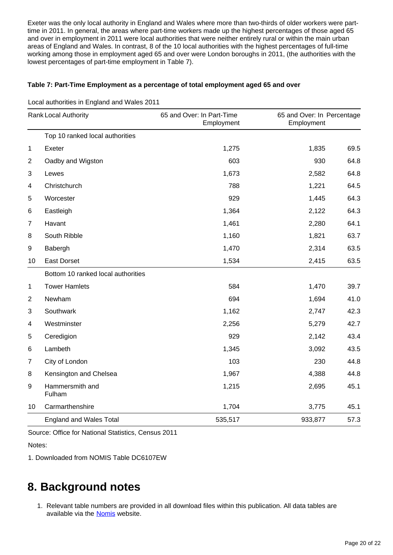Exeter was the only local authority in England and Wales where more than two-thirds of older workers were parttime in 2011. In general, the areas where part-time workers made up the highest percentages of those aged 65 and over in employment in 2011 were local authorities that were neither entirely rural or within the main urban areas of England and Wales. In contrast, 8 of the 10 local authorities with the highest percentages of full-time working among those in employment aged 65 and over were London boroughs in 2011, (the authorities with the lowest percentages of part-time employment in Table 7).

### **Table 7: Part-Time Employment as a percentage of total employment aged 65 and over**

| Rank Local Authority |                                    | 65 and Over: In Part-Time<br>Employment | 65 and Over: In Percentage<br>Employment |      |  |
|----------------------|------------------------------------|-----------------------------------------|------------------------------------------|------|--|
|                      | Top 10 ranked local authorities    |                                         |                                          |      |  |
| $\mathbf{1}$         | Exeter                             | 1,275                                   | 1,835                                    | 69.5 |  |
| $\overline{2}$       | Oadby and Wigston                  | 603                                     | 930                                      | 64.8 |  |
| 3                    | Lewes                              | 1,673                                   | 2,582                                    | 64.8 |  |
| 4                    | Christchurch                       | 788                                     | 1,221                                    | 64.5 |  |
| 5                    | Worcester                          | 929                                     | 1,445                                    | 64.3 |  |
| 6                    | Eastleigh                          | 1,364                                   | 2,122                                    | 64.3 |  |
| $\overline{7}$       | Havant                             | 1,461                                   | 2,280                                    | 64.1 |  |
| 8                    | South Ribble                       | 1,160                                   | 1,821                                    | 63.7 |  |
| 9                    | Babergh                            | 1,470                                   | 2,314                                    | 63.5 |  |
| 10                   | <b>East Dorset</b>                 | 1,534                                   | 2,415                                    | 63.5 |  |
|                      | Bottom 10 ranked local authorities |                                         |                                          |      |  |
| 1                    | <b>Tower Hamlets</b>               | 584                                     | 1,470                                    | 39.7 |  |
| $\overline{2}$       | Newham                             | 694                                     | 1,694                                    | 41.0 |  |
| 3                    | Southwark                          | 1,162                                   | 2,747                                    | 42.3 |  |
| 4                    | Westminster                        | 2,256                                   | 5,279                                    | 42.7 |  |
| 5                    | Ceredigion                         | 929                                     | 2,142                                    | 43.4 |  |
| 6                    | Lambeth                            | 1,345                                   | 3,092                                    | 43.5 |  |
| $\overline{7}$       | City of London                     | 103                                     | 230                                      | 44.8 |  |
| 8                    | Kensington and Chelsea             | 1,967                                   | 4,388                                    | 44.8 |  |
| 9                    | Hammersmith and<br>Fulham          | 1,215                                   | 2,695                                    | 45.1 |  |
| 10                   | Carmarthenshire                    | 1,704                                   | 3,775                                    | 45.1 |  |
|                      | <b>England and Wales Total</b>     | 535,517                                 | 933,877                                  | 57.3 |  |

Local authorities in England and Wales 2011

Source: Office for National Statistics, Census 2011

Notes:

1. Downloaded from NOMIS Table DC6107EW

# <span id="page-19-0"></span>**8. Background notes**

1. Relevant table numbers are provided in all download files within this publication. All data tables are available via the [Nomis](http://www.nomisweb.co.uk/census/2011) website.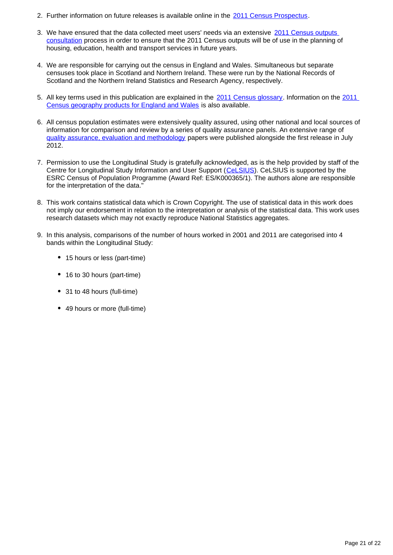- 2. Further information on future releases is available online in the [2011 Census Prospectus.](http://www.ons.gov.uk/ons/guide-method/census/2011/census-data/2011-census-prospectus/index.html)
- 3. We have ensured that the data collected meet users' needs via an extensive 2011 Census outputs [consultation](http://www.ons.gov.uk/ons/guide-method/census/2011/the-2011-census/census-consultations/index.html) process in order to ensure that the 2011 Census outputs will be of use in the planning of housing, education, health and transport services in future years.
- 4. We are responsible for carrying out the census in England and Wales. Simultaneous but separate censuses took place in Scotland and Northern Ireland. These were run by the National Records of Scotland and the Northern Ireland Statistics and Research Agency, respectively.
- 5. All key terms used in this publication are explained in the [2011 Census glossary.](http://www.ons.gov.uk/ons/guide-method/census/2011/census-data/2011-census-data/2011-first-release/2011-census-definitions/index.html) Information on the 2011 [Census geography products for England and Wales](http://www.ons.gov.uk/ons/guide-method/geography/products/census/index.html) is also available.
- 6. All census population estimates were extensively quality assured, using other national and local sources of information for comparison and review by a series of quality assurance panels. An extensive range of [quality assurance, evaluation and methodology](http://www.ons.gov.uk/ons/guide-method/census/2011/census-data/2011-census-data/2011-first-release/first-release--quality-assurance-and-methodology-papers/index.html) papers were published alongside the first release in July 2012.
- 7. Permission to use the Longitudinal Study is gratefully acknowledged, as is the help provided by staff of the Centre for Longitudinal Study Information and User Support ([CeLSIUS](http://www.ucl.ac.uk/celsius)). CeLSIUS is supported by the ESRC Census of Population Programme (Award Ref: ES/K000365/1). The authors alone are responsible for the interpretation of the data."
- 8. This work contains statistical data which is Crown Copyright. The use of statistical data in this work does not imply our endorsement in relation to the interpretation or analysis of the statistical data. This work uses research datasets which may not exactly reproduce National Statistics aggregates.
- 9. In this analysis, comparisons of the number of hours worked in 2001 and 2011 are categorised into 4 bands within the Longitudinal Study:
	- 15 hours or less (part-time)
	- 16 to 30 hours (part-time)
	- 31 to 48 hours (full-time)
	- 49 hours or more (full-time)